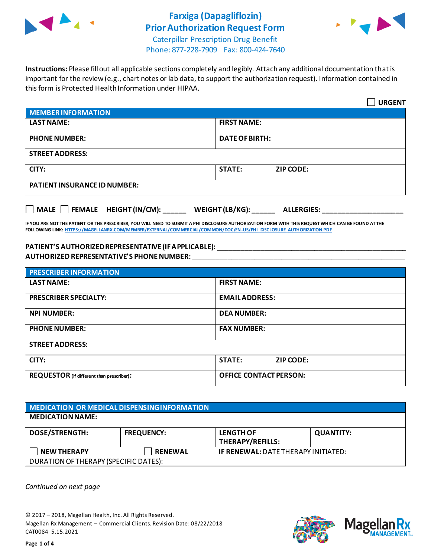

# **Farxiga (Dapagliflozin) Prior Authorization Request Form**



Caterpillar Prescription Drug Benefit Phone: 877-228-7909 Fax: 800-424-7640

**Instructions:** Please fill out all applicable sections completely and legibly. Attach any additional documentation that is important for the review (e.g., chart notes or lab data, to support the authorization request). Information contained in this form is Protected Health Information under HIPAA.

|                                           | <b>URGENT</b>                        |  |
|-------------------------------------------|--------------------------------------|--|
| <b>MEMBER INFORMATION</b>                 |                                      |  |
| <b>LAST NAME:</b>                         | <b>FIRST NAME:</b>                   |  |
| <b>PHONE NUMBER:</b>                      | <b>DATE OF BIRTH:</b>                |  |
| <b>STREET ADDRESS:</b>                    |                                      |  |
| CITY:                                     | <b>STATE:</b><br><b>ZIP CODE:</b>    |  |
| <b>PATIENT INSURANCE ID NUMBER:</b>       |                                      |  |
| $\Box$ MALE $\Box$ FEMALE HEIGHT (IN/CM): | WEIGHT (LB/KG):<br><b>ALLERGIES:</b> |  |

**IF YOU ARE NOT THE PATIENT OR THE PRESCRIBER, YOU WILL NEED TO SUBMIT A PHI DISCLOSURE AUTHORIZATION FORM WITH THIS REQUEST WHICH CAN BE FOUND AT THE FOLLOWING LINK[: HTTPS://MAGELLANRX.COM/MEMBER/EXTERNAL/COMMERCIAL/COMMON/DOC/EN-US/PHI\\_DISCLOSURE\\_AUTHORIZATION.PDF](https://magellanrx.com/member/external/commercial/common/doc/en-us/PHI_Disclosure_Authorization.pdf)**

#### **PATIENT'S AUTHORIZED REPRESENTATIVE (IF APPLICABLE):** \_\_\_\_\_\_\_\_\_\_\_\_\_\_\_\_\_\_\_\_\_\_\_\_\_\_\_\_\_\_\_\_\_\_\_\_\_\_\_\_\_\_\_\_\_\_\_\_\_ **AUTHORIZED REPRESENTATIVE'S PHONE NUMBER:** \_\_\_\_\_\_\_\_\_\_\_\_\_\_\_\_\_\_\_\_\_\_\_\_\_\_\_\_\_\_\_\_\_\_\_\_\_\_\_\_\_\_\_\_\_\_\_\_\_\_\_\_\_\_\_

| <b>PRESCRIBER INFORMATION</b>             |                               |  |
|-------------------------------------------|-------------------------------|--|
| <b>LAST NAME:</b>                         | <b>FIRST NAME:</b>            |  |
| <b>PRESCRIBER SPECIALTY:</b>              | <b>EMAIL ADDRESS:</b>         |  |
| <b>NPI NUMBER:</b>                        | <b>DEA NUMBER:</b>            |  |
| <b>PHONE NUMBER:</b>                      | <b>FAX NUMBER:</b>            |  |
| <b>STREET ADDRESS:</b>                    |                               |  |
| CITY:                                     | <b>STATE:</b><br>ZIP CODE:    |  |
| REQUESTOR (if different than prescriber): | <b>OFFICE CONTACT PERSON:</b> |  |

| MEDICATION OR MEDICAL DISPENSING INFORMATION |                   |                                             |                  |
|----------------------------------------------|-------------------|---------------------------------------------|------------------|
| <b>MEDICATION NAME:</b>                      |                   |                                             |                  |
| <b>DOSE/STRENGTH:</b>                        | <b>FREQUENCY:</b> | <b>LENGTH OF</b><br><b>THERAPY/REFILLS:</b> | <b>QUANTITY:</b> |
| <b>NEW THERAPY</b>                           | <b>RENEWAL</b>    | <b>IF RENEWAL: DATE THERAPY INITIATED:</b>  |                  |
| DURATION OF THERAPY (SPECIFIC DATES):        |                   |                                             |                  |

*Continued on next page*

© 2017 – 2018, Magellan Health, Inc. All Rights Reserved. Magellan Rx Management – Commercial Clients. Revision Date: 08/22/2018 CAT0084 5.15.2021



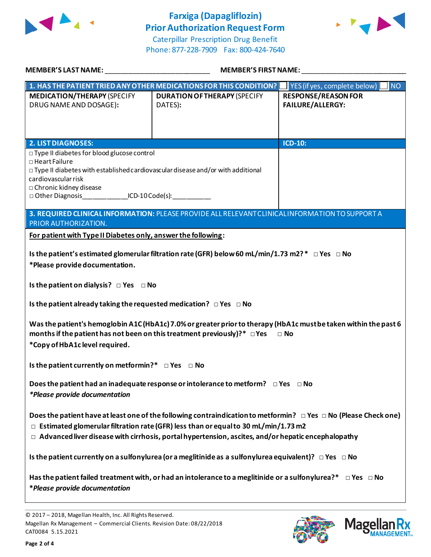

## **Farxiga (Dapagliflozin) Prior Authorization Request Form**





| <b>MEMBER'S LAST NAME:</b>                                                                                                                                                                                                                                                                                                           | <b>MEMBER'S FIRST NAME:</b>                                                                     |                                                       |  |  |
|--------------------------------------------------------------------------------------------------------------------------------------------------------------------------------------------------------------------------------------------------------------------------------------------------------------------------------------|-------------------------------------------------------------------------------------------------|-------------------------------------------------------|--|--|
| $\mid$ 1. HAS THE PATIENT TRIED ANY OTHER MEDICATIONS FOR THIS CONDITION? $\mid$                                                                                                                                                                                                                                                     |                                                                                                 | YES (if yes, complete below)<br><b>NO</b>             |  |  |
| <b>MEDICATION/THERAPY (SPECIFY</b><br>DRUG NAME AND DOSAGE):                                                                                                                                                                                                                                                                         | <b>DURATION OF THERAPY (SPECIFY</b><br>DATES):                                                  | <b>RESPONSE/REASON FOR</b><br><b>FAILURE/ALLERGY:</b> |  |  |
| <b>2. LIST DIAGNOSES:</b>                                                                                                                                                                                                                                                                                                            |                                                                                                 | $ICD-10$ :                                            |  |  |
| □ Type II diabetes for blood glucose control<br>□ Heart Failure<br>$\Box$ Type II diabetes with established cardiovascular disease and/or with additional<br>cardiovascular risk<br>□ Chronic kidney disease<br>□ Other Diagnosis _______________ ICD-10 Code(s): ___________                                                        |                                                                                                 |                                                       |  |  |
|                                                                                                                                                                                                                                                                                                                                      | 3. REQUIRED CLINICAL INFORMATION: PLEASE PROVIDE ALL RELEVANT CLINICAL INFORMATION TO SUPPORT A |                                                       |  |  |
| PRIOR AUTHORIZATION.                                                                                                                                                                                                                                                                                                                 |                                                                                                 |                                                       |  |  |
| For patient with Type II Diabetes only, answer the following:                                                                                                                                                                                                                                                                        |                                                                                                 |                                                       |  |  |
| Is the patient's estimated glomerular filtration rate (GFR) below 60 mL/min/1.73 m2? * □ Yes □ No<br>*Please provide documentation.<br>Is the patient on dialysis? $\Box$ Yes $\Box$ No                                                                                                                                              |                                                                                                 |                                                       |  |  |
| Is the patient already taking the requested medication? $\Box$ Yes $\Box$ No                                                                                                                                                                                                                                                         |                                                                                                 |                                                       |  |  |
| Was the patient's hemoglobin A1C (HbA1c) 7.0% or greater prior to therapy (HbA1c must be taken within the past 6<br>months if the patient has not been on this treatment previously)? $* \Box$ Yes<br>$\Box$ No<br>*Copy of HbA1c level required.                                                                                    |                                                                                                 |                                                       |  |  |
| Is the patient currently on metformin?* $\Box$ Yes $\Box$ No                                                                                                                                                                                                                                                                         |                                                                                                 |                                                       |  |  |
| Does the patient had an inadequate response or intolerance to metform? $\Box$ Yes $\Box$ No<br>*Please provide documentation                                                                                                                                                                                                         |                                                                                                 |                                                       |  |  |
| Does the patient have at least one of the following contraindication to metformin? $\Box$ Yes $\Box$ No (Please Check one)<br>$\Box$ Estimated glomerular filtration rate (GFR) less than or equal to 30 mL/min/1.73 m2<br>$\Box$ Advanced liver disease with cirrhosis, portal hypertension, ascites, and/or hepatic encephalopathy |                                                                                                 |                                                       |  |  |
| Is the patient currently on a sulfonylurea (or a meglitinide as a sulfonylurea equivalent)? $\Box$ Yes $\Box$ No                                                                                                                                                                                                                     |                                                                                                 |                                                       |  |  |
| Has the patient failed treatment with, or had an intolerance to a meglitinide or a sulfonylurea?* $\Box$ Yes $\Box$ No<br>*Please provide documentation                                                                                                                                                                              |                                                                                                 |                                                       |  |  |



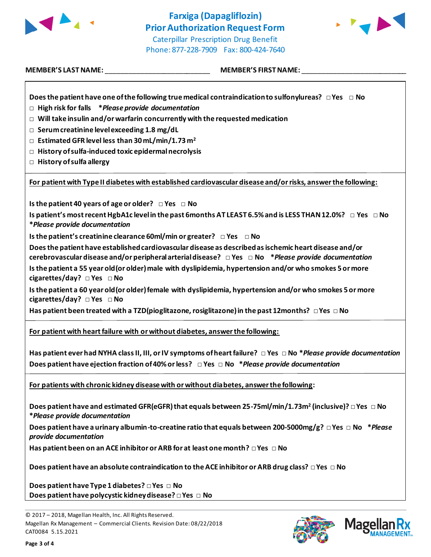

### **Farxiga (Dapagliflozin) Prior Authorization Request Form** Caterpillar Prescription Drug Benefit

Phone: 877-228-7909 Fax: 800-424-7640

| <b>MEMBER'S LAST NAME:</b> |  |
|----------------------------|--|
|----------------------------|--|

**MEMBER'S FIRST NAME:** 

**Does the patient have one of the following true medical contraindication to sulfonylureas? □ Yes □ No**

- **□ High risk for falls \****Please provide documentation*
- **□ Will take insulin and/or warfarin concurrently with the requested medication**
- **□ Serum creatinine level exceeding 1.8 mg/dL**
- **□ Estimated GFR level less than 30 mL/min/1.73 m<sup>2</sup>**
- **□ History of sulfa-induced toxic epidermal necrolysis**
- **□ History of sulfa allergy**

**For patient with Type II diabetes with established cardiovascular disease and/or risks, answer the following:**

**Is the patient 40 years of age or older? □ Yes □ No**

**Is patient's most recent HgbA1c level in the past 6months AT LEAST 6.5% and is LESS THAN 12.0%? □ Yes □ No \****Please provide documentation*

**Is the patient's creatinine clearance 60ml/min or greater? □ Yes □ No** 

**Does the patient have established cardiovascular disease as described as ischemic heart disease and/or cerebrovascular disease and/or peripheral arterial disease? □ Yes □ No \****Please provide documentation*

**Is the patient a 55 year old(or older)male with dyslipidemia, hypertension and/or who smokes 5 or more cigarettes/day? □ Yes □ No**

Is the patient a 60 year old (or older) female with dyslipidemia, hypertension and/or who smokes 5 or more **cigarettes/day? □ Yes □ No**

**Has patient been treated with a TZD(pioglitazone, rosiglitazone) in the past 12months? □ Yes □ No**

**For patient with heart failure with or without diabetes, answer the following:**

**Has patient ever had NYHA class II, III, or IV symptoms of heart failure? □ Yes □ No \****Please provide documentation* **Does patient have ejection fraction of 40% or less? □ Yes □ No \****Please provide documentation*

**For patients with chronic kidney disease with or without diabetes, answer the following:**

**Does patient have and estimated GFR(eGFR) that equals between 25-75ml/min/1.73m<sup>2</sup> (inclusive)? □ Yes □ No \****Please provide documentation*

**Does patient have a urinary albumin-to-creatine ratio that equals between 200-5000mg/g? □ Yes □ No \****Please provide documentation*

**Has patient been on an ACE inhibitor or ARB for at least one month? □ Yes □ No** 

**Does patient have an absolute contraindication to the ACE inhibitor or ARB drug class? □ Yes □ No** 

**Does patient have Type 1 diabetes? □ Yes □ No Does patient have polycystic kidney disease? □ Yes □ No**